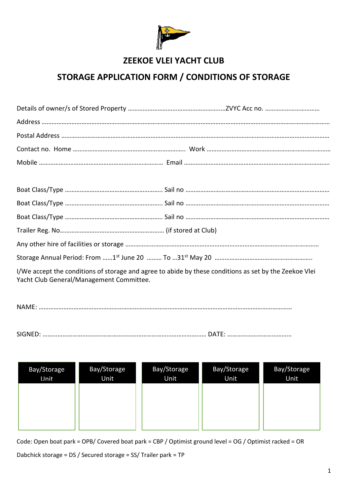

# **ZEEKOE VLEI YACHT CLUB**

# **STORAGE APPLICATION FORM / CONDITIONS OF STORAGE**

|  | $\mathbf{r}(k)$ , and the contract $\mathbf{r}(k)$ , and $\mathbf{r}(k)$ , and $\mathbf{r}(k)$ , and $\mathbf{r}(k)$ , and $\mathbf{r}(k)$ |  |
|--|--------------------------------------------------------------------------------------------------------------------------------------------|--|

I/We accept the conditions of storage and agree to abide by these conditions as set by the Zeekoe Vlei Yacht Club General/Management Committee.

NAME: ………………………………………………………………………………………………………………………………………

SIGNED: ……………………………………………………………………………………… DATE: …………………………………

| Bay/Storage<br>Unit | Bay/Storage<br>Unit <sup>1</sup> | Bay/Storage<br>Unit | Bay/Storage<br>Unit | Bay/Storage<br>Unit |
|---------------------|----------------------------------|---------------------|---------------------|---------------------|
|                     |                                  |                     |                     |                     |
|                     |                                  |                     |                     |                     |

Code: Open boat park = OPB/ Covered boat park = CBP / Optimist ground level = OG / Optimist racked = OR

Dabchick storage = DS / Secured storage = SS/ Trailer park = TP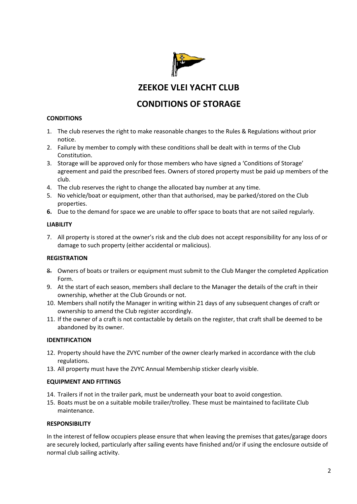

**ZEEKOE VLEI YACHT CLUB** 

# **CONDITIONS OF STORAGE**

### **CONDITIONS**

- 1. The club reserves the right to make reasonable changes to the Rules & Regulations without prior notice.
- 2. Failure by member to comply with these conditions shall be dealt with in terms of the Club Constitution.
- 3. Storage will be approved only for those members who have signed a 'Conditions of Storage' agreement and paid the prescribed fees. Owners of stored property must be paid up members of the club.
- 4. The club reserves the right to change the allocated bay number at any time.
- 5. No vehicle/boat or equipment, other than that authorised, may be parked/stored on the Club properties.
- **6.** Due to the demand for space we are unable to offer space to boats that are not sailed regularly.

#### **LIABILITY**

7. All property is stored at the owner's risk and the club does not accept responsibility for any loss of or damage to such property (either accidental or malicious).

## **REGISTRATION**

- 8. Owners of boats or trailers or equipment must submit to the Club Manger the completed Application Form.
- 9. At the start of each season, members shall declare to the Manager the details of the craft in their ownership, whether at the Club Grounds or not.
- 10. Members shall notify the Manager in writing within 21 days of any subsequent changes of craft or ownership to amend the Club register accordingly.
- 11. If the owner of a craft is not contactable by details on the register, that craft shall be deemed to be abandoned by its owner.

#### **IDENTIFICATION**

- 12. Property should have the ZVYC number of the owner clearly marked in accordance with the club regulations.
- 13. All property must have the ZVYC Annual Membership sticker clearly visible.

#### **EQUIPMENT AND FITTINGS**

- 14. Trailers if not in the trailer park, must be underneath your boat to avoid congestion.
- 15. Boats must be on a suitable mobile trailer/trolley. These must be maintained to facilitate Club maintenance.

#### **RESPONSIBILITY**

In the interest of fellow occupiers please ensure that when leaving the premises that gates/garage doors are securely locked, particularly after sailing events have finished and/or if using the enclosure outside of normal club sailing activity.